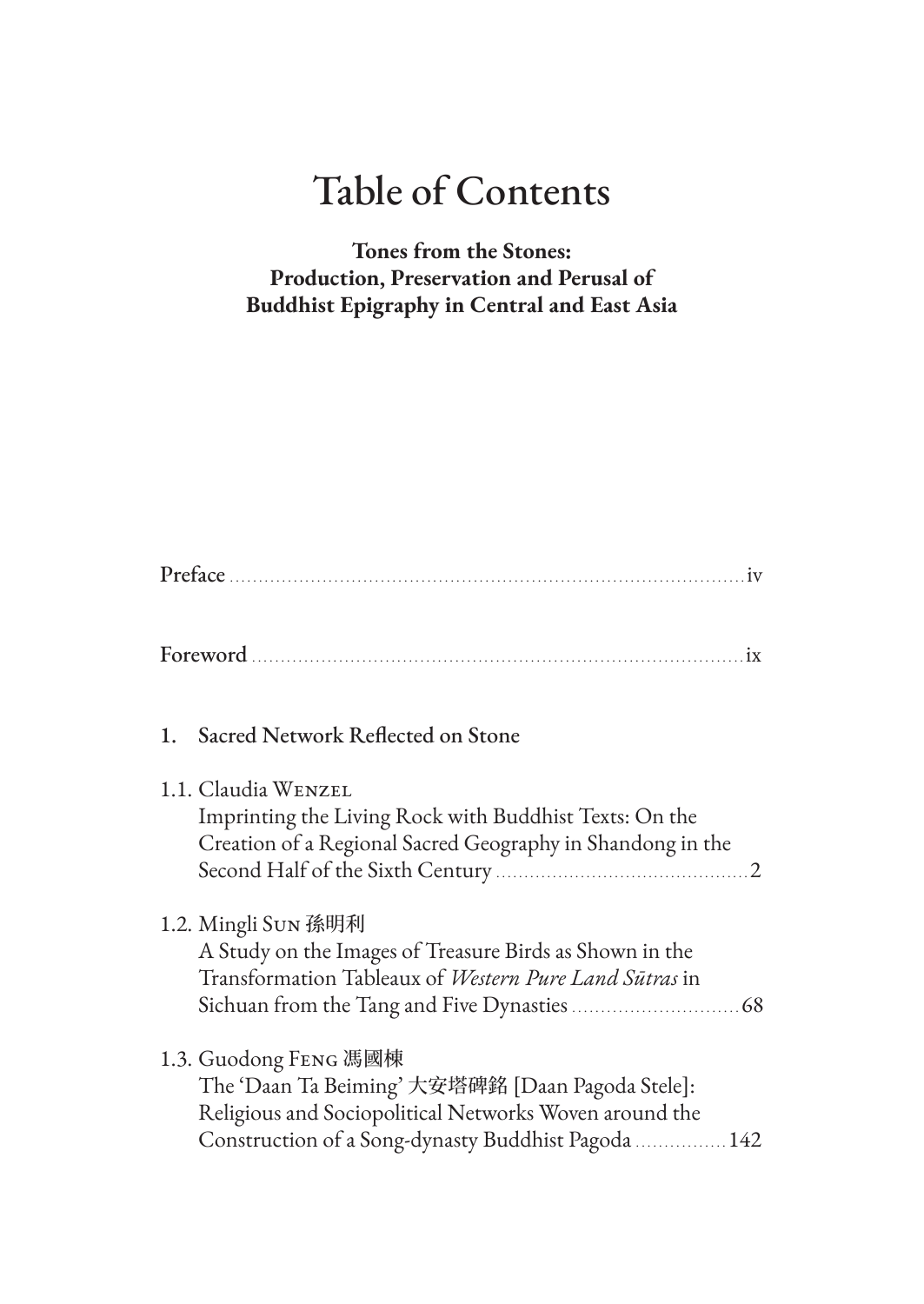# Table of Contents

# **Tones from the Stones: Production, Preservation and Perusal of Buddhist Epigraphy in Central and East Asia**

|--|--|

| $\blacksquare$<br>Foreword $\ldots$ is equal to the set of $\mathbf{x}$ |  |
|-------------------------------------------------------------------------|--|
|-------------------------------------------------------------------------|--|

## 1. Sacred Network Reflected on Stone

#### 1.1. Claudia Wenzel

Imprinting the Living Rock with Buddhist Texts: On the Creation of a Regional Sacred Geography in Shandong in the Second Half of the Sixth Century .............................................2

#### 1.2. Mingli Sun 孫明利

A Study on the Images of Treasure Birds as Shown in the Transformation Tableaux of *Western Pure Land Sūtras* in Sichuan from the Tang and Five Dynasties .............................68

## 1.3. Guodong Feng 馮國棟

The 'Daan Ta Beiming' 大安塔碑銘 [Daan Pagoda Stele]: Religious and Sociopolitical Networks Woven around the Construction of a Song-dynasty Buddhist Pagoda ................142